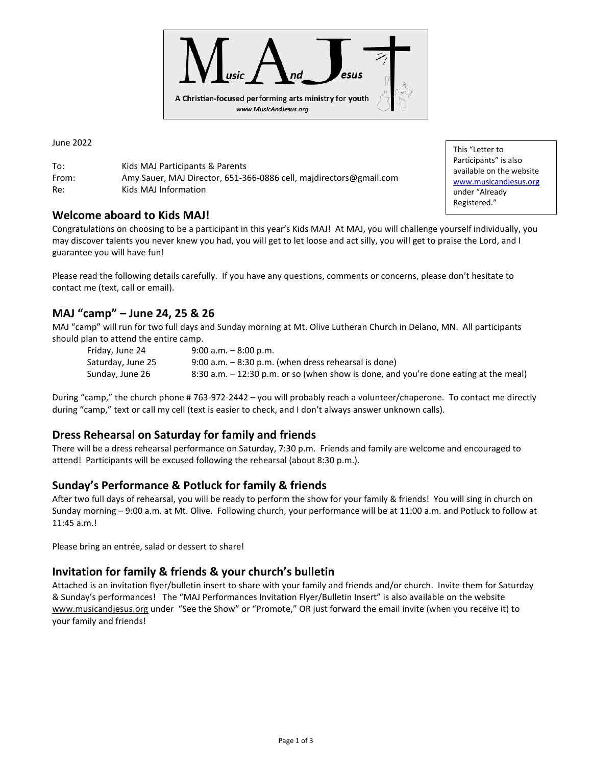

June 2022

To: Kids MAJ Participants & Parents From: Amy Sauer, MAJ Director, 651-366-0886 cell, majdirectors@gmail.com Re: Kids MAJ Information

#### **Welcome aboard to Kids MAJ!**

Congratulations on choosing to be a participant in this year's Kids MAJ! At MAJ, you will challenge yourself individually, you may discover talents you never knew you had, you will get to let loose and act silly, you will get to praise the Lord, and I guarantee you will have fun!

Please read the following details carefully. If you have any questions, comments or concerns, please don't hesitate to contact me (text, call or email).

#### **MAJ "camp" – June 24, 25 & 26**

MAJ "camp" will run for two full days and Sunday morning at Mt. Olive Lutheran Church in Delano, MN. All participants should plan to attend the entire camp.

Friday, June 24 9:00 a.m. – 8:00 p.m. Saturday, June 25 9:00 a.m.  $-8:30$  p.m. (when dress rehearsal is done) Sunday, June 26 8:30 a.m. – 12:30 p.m. or so (when show is done, and you're done eating at the meal)

During "camp," the church phone # 763-972-2442 – you will probably reach a volunteer/chaperone. To contact me directly during "camp," text or call my cell (text is easier to check, and I don't always answer unknown calls).

## **Dress Rehearsal on Saturday for family and friends**

There will be a dress rehearsal performance on Saturday, 7:30 p.m. Friends and family are welcome and encouraged to attend! Participants will be excused following the rehearsal (about 8:30 p.m.).

#### **Sunday's Performance & Potluck for family & friends**

After two full days of rehearsal, you will be ready to perform the show for your family & friends! You will sing in church on Sunday morning – 9:00 a.m. at Mt. Olive. Following church, your performance will be at 11:00 a.m. and Potluck to follow at 11:45 a.m.!

Please bring an entrée, salad or dessert to share!

#### **Invitation for family & friends & your church's bulletin**

Attached is an invitation flyer/bulletin insert to share with your family and friends and/or church. Invite them for Saturday & Sunday's performances! The "MAJ Performances Invitation Flyer/Bulletin Insert" is also available on the website [www.musicandjesus.org](http://www.musicandjesus.org/) under "See the Show" or "Promote," OR just forward the email invite (when you receive it) to your family and friends!

This "Letter to Participants" is also available on the website [www.musicandjesus.org](http://www.musicandjesus.org/) under "Already Registered."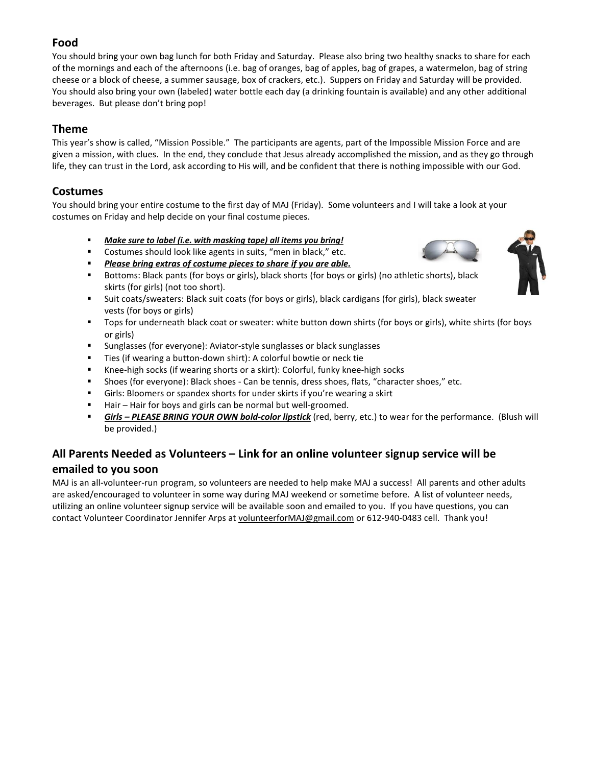## **Food**

You should bring your own bag lunch for both Friday and Saturday. Please also bring two healthy snacks to share for each of the mornings and each of the afternoons (i.e. bag of oranges, bag of apples, bag of grapes, a watermelon, bag of string cheese or a block of cheese, a summer sausage, box of crackers, etc.). Suppers on Friday and Saturday will be provided. You should also bring your own (labeled) water bottle each day (a drinking fountain is available) and any other additional beverages. But please don't bring pop!

## **Theme**

This year's show is called, "Mission Possible." The participants are agents, part of the Impossible Mission Force and are given a mission, with clues. In the end, they conclude that Jesus already accomplished the mission, and as they go through life, they can trust in the Lord, ask according to His will, and be confident that there is nothing impossible with our God.

## **Costumes**

You should bring your entire costume to the first day of MAJ (Friday). Some volunteers and I will take a look at your costumes on Friday and help decide on your final costume pieces.

- Make sure to label (i.e. with masking tape) all items you bring!
- Costumes should look like agents in suits, "men in black," etc.
- *Please bring extras of costume pieces to share if you are able.*
- Bottoms: Black pants (for boys or girls), black shorts (for boys or girls) (no athletic shorts), black skirts (for girls) (not too short).
- Suit coats/sweaters: Black suit coats (for boys or girls), black cardigans (for girls), black sweater vests (for boys or girls)
- Tops for underneath black coat or sweater: white button down shirts (for boys or girls), white shirts (for boys or girls)
- Sunglasses (for everyone): Aviator-style sunglasses or black sunglasses
- Ties (if wearing a button-down shirt): A colorful bowtie or neck tie
- Knee-high socks (if wearing shorts or a skirt): Colorful, funky knee-high socks
- Shoes (for everyone): Black shoes Can be tennis, dress shoes, flats, "character shoes," etc.
- Girls: Bloomers or spandex shorts for under skirts if you're wearing a skirt
- Hair Hair for boys and girls can be normal but well-groomed.
- Girls PLEASE BRING YOUR OWN bold-color lipstick (red, berry, etc.) to wear for the performance. (Blush will be provided.)

# **All Parents Needed as Volunteers – Link for an online volunteer signup service will be emailed to you soon**

MAJ is an all-volunteer-run program, so volunteers are needed to help make MAJ a success! All parents and other adults are asked/encouraged to volunteer in some way during MAJ weekend or sometime before. A list of volunteer needs, utilizing an online volunteer signup service will be available soon and emailed to you. If you have questions, you can contact Volunteer Coordinator Jennifer Arps a[t volunteerforMAJ@gmail.com](mailto:volunteerforMAJ@gmail.com) or 612-940-0483 cell. Thank you!